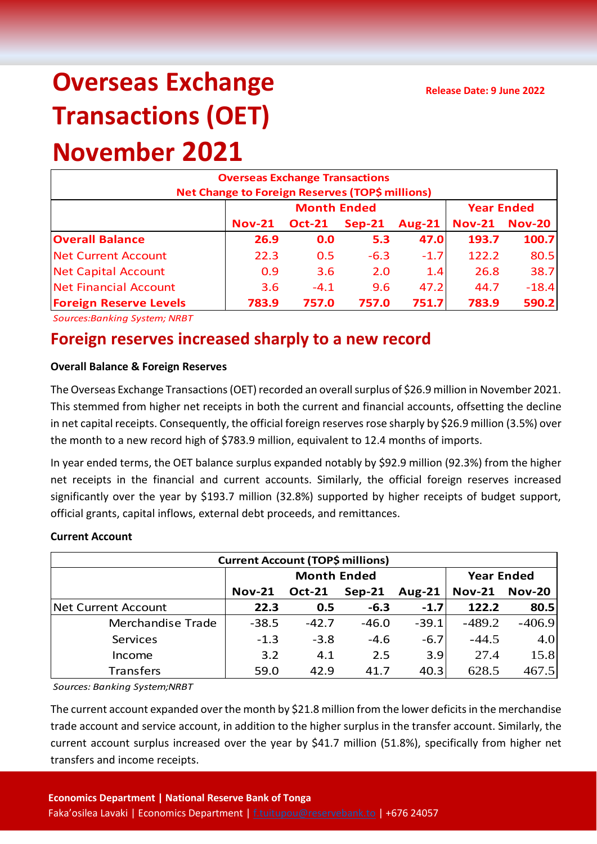# **Overseas Exchange Transactions (OET)**

## **November 2021**

| <b>Overseas Exchange Transactions</b><br>Net Change to Foreign Reserves (TOP\$ millions) |               |                    |                   |               |               |               |  |  |
|------------------------------------------------------------------------------------------|---------------|--------------------|-------------------|---------------|---------------|---------------|--|--|
|                                                                                          |               | <b>Month Ended</b> | <b>Year Ended</b> |               |               |               |  |  |
|                                                                                          | <b>Nov-21</b> | <b>Oct-21</b>      | $Sep-21$          | <b>Aug-21</b> | <b>Nov-21</b> | <b>Nov-20</b> |  |  |
| <b>Overall Balance</b>                                                                   | 26.9          | 0.0                | 5.3               | 47.0          | 193.7         | 100.7         |  |  |
| <b>Net Current Account</b>                                                               | 22.3          | 0.5                | $-6.3$            | $-1.7$        | 122.2         | 80.5          |  |  |
| <b>Net Capital Account</b>                                                               | 0.9           | 3.6                | 2.0               | 1.4           | 26.8          | 38.7          |  |  |
| Net Financial Account                                                                    | 3.6           | $-4.1$             | 9.6               | 47.2          | 44.7          | $-18.4$       |  |  |
| <b>Foreign Reserve Levels</b>                                                            | 783.9         | 757.0              | 757.0             | 751.7         | 783.9         | 590.2         |  |  |

*Sources:Banking System; NRBT*

### **Foreign reserves increased sharply to a new record**

#### **Overall Balance & Foreign Reserves**

The Overseas Exchange Transactions (OET) recorded an overall surplus of \$26.9 million in November 2021. This stemmed from higher net receipts in both the current and financial accounts, offsetting the decline in net capital receipts. Consequently, the official foreign reserves rose sharply by \$26.9 million (3.5%) over the month to a new record high of \$783.9 million, equivalent to 12.4 months of imports.

In year ended terms, the OET balance surplus expanded notably by \$92.9 million (92.3%) from the higher net receipts in the financial and current accounts. Similarly, the official foreign reserves increased significantly over the year by \$193.7 million (32.8%) supported by higher receipts of budget support, official grants, capital inflows, external debt proceeds, and remittances.

#### **Current Account**

| <b>Current Account (TOP\$ millions)</b> |               |                    |                   |               |               |               |  |  |
|-----------------------------------------|---------------|--------------------|-------------------|---------------|---------------|---------------|--|--|
|                                         |               | <b>Month Ended</b> | <b>Year Ended</b> |               |               |               |  |  |
|                                         | <b>Nov-21</b> | <b>Oct-21</b>      | $Sep-21$          | <b>Aug-21</b> | <b>Nov-21</b> | <b>Nov-20</b> |  |  |
| Net Current Account                     | 22.3          | 0.5                | $-6.3$            | $-1.7$        | 122.2         | 80.5          |  |  |
| Merchandise Trade                       | $-38.5$       | $-42.7$            | $-46.0$           | $-39.1$       | $-489.2$      | $-406.9$      |  |  |
| Services                                | $-1.3$        | $-3.8$             | $-4.6$            | $-6.7$        | $-44.5$       | 4.0           |  |  |
| Income                                  | 3.2           | 4.1                | 2.5               | 3.9           | 27.4          | 15.8          |  |  |
| <b>Transfers</b>                        | 59.0          | 42.9               | 41.7              | 40.3          | 628.5         | 467.5         |  |  |

*Sources: Banking System;NRBT*

The current account expanded over the month by \$21.8 million from the lower deficits in the merchandise trade account and service account, in addition to the higher surplus in the transfer account. Similarly, the current account surplus increased over the year by \$41.7 million (51.8%), specifically from higher net transfers and income receipts.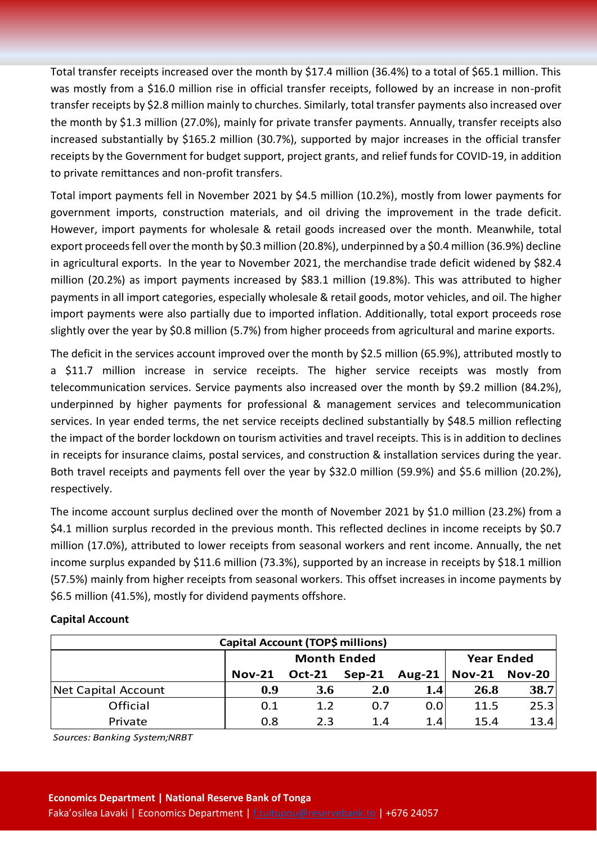Total transfer receipts increased over the month by \$17.4 million (36.4%) to a total of \$65.1 million. This was mostly from a \$16.0 million rise in official transfer receipts, followed by an increase in non-profit transfer receipts by \$2.8 million mainly to churches. Similarly, total transfer payments also increased over the month by \$1.3 million (27.0%), mainly for private transfer payments. Annually, transfer receipts also increased substantially by \$165.2 million (30.7%), supported by major increases in the official transfer receipts by the Government for budget support, project grants, and relief funds for COVID-19, in addition to private remittances and non-profit transfers.

Total import payments fell in November 2021 by \$4.5 million (10.2%), mostly from lower payments for government imports, construction materials, and oil driving the improvement in the trade deficit. However, import payments for wholesale & retail goods increased over the month. Meanwhile, total export proceeds fell over the month by \$0.3 million (20.8%), underpinned by a \$0.4 million (36.9%) decline in agricultural exports. In the year to November 2021, the merchandise trade deficit widened by \$82.4 million (20.2%) as import payments increased by \$83.1 million (19.8%). This was attributed to higher payments in all import categories, especially wholesale & retail goods, motor vehicles, and oil. The higher import payments were also partially due to imported inflation. Additionally, total export proceeds rose slightly over the year by \$0.8 million (5.7%) from higher proceeds from agricultural and marine exports.

The deficit in the services account improved over the month by \$2.5 million (65.9%), attributed mostly to a \$11.7 million increase in service receipts. The higher service receipts was mostly from telecommunication services. Service payments also increased over the month by \$9.2 million (84.2%), underpinned by higher payments for professional & management services and telecommunication services. In year ended terms, the net service receipts declined substantially by \$48.5 million reflecting the impact of the border lockdown on tourism activities and travel receipts. This is in addition to declines in receipts for insurance claims, postal services, and construction & installation services during the year. Both travel receipts and payments fell over the year by \$32.0 million (59.9%) and \$5.6 million (20.2%), respectively.

The income account surplus declined over the month of November 2021 by \$1.0 million (23.2%) from a \$4.1 million surplus recorded in the previous month. This reflected declines in income receipts by \$0.7 million (17.0%), attributed to lower receipts from seasonal workers and rent income. Annually, the net income surplus expanded by \$11.6 million (73.3%), supported by an increase in receipts by \$18.1 million (57.5%) mainly from higher receipts from seasonal workers. This offset increases in income payments by \$6.5 million (41.5%), mostly for dividend payments offshore.

| Capital Account (TOP\$ millions) |               |                    |                   |               |                        |      |  |  |
|----------------------------------|---------------|--------------------|-------------------|---------------|------------------------|------|--|--|
|                                  |               | <b>Month Ended</b> | <b>Year Ended</b> |               |                        |      |  |  |
|                                  | <b>Nov-21</b> | <b>Oct-21</b>      | $Sep-21$          | <b>Aug-21</b> | $\sqrt{Nov-21}$ Nov-20 |      |  |  |
| Net Capital Account              | 0.9           | <b>3.6</b>         | <b>2.0</b>        | 1.4           | 26.8                   | 38.7 |  |  |
| Official                         | 0.1           | 1.2                | 0.7               | 0.0           | 11.5                   | 25.3 |  |  |
| Private                          | 0.8           | 23                 | 1.4               | 1.4           | 15.4                   | 13.4 |  |  |

#### **Capital Account**

*Sources: Banking System;NRBT*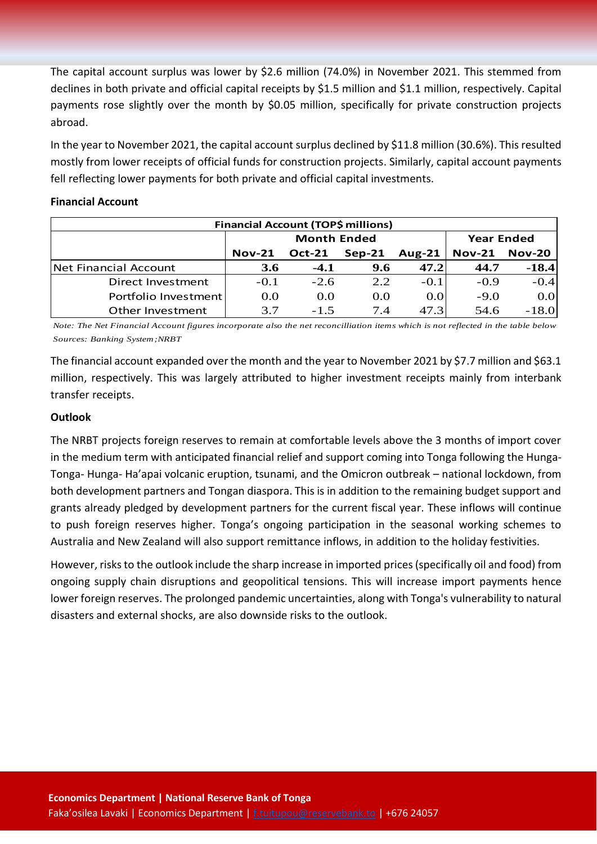The capital account surplus was lower by \$2.6 million (74.0%) in November 2021. This stemmed from declines in both private and official capital receipts by \$1.5 million and \$1.1 million, respectively. Capital payments rose slightly over the month by \$0.05 million, specifically for private construction projects abroad.

In the year to November 2021, the capital account surplus declined by \$11.8 million (30.6%). This resulted mostly from lower receipts of official funds for construction projects. Similarly, capital account payments fell reflecting lower payments for both private and official capital investments.

#### **Financial Account**

| <b>Financial Account (TOP\$ millions)</b> |            |                    |                   |        |                      |         |  |  |
|-------------------------------------------|------------|--------------------|-------------------|--------|----------------------|---------|--|--|
|                                           |            | <b>Month Ended</b> | <b>Year Ended</b> |        |                      |         |  |  |
|                                           | $Nov-21$   | <b>Oct-21</b>      | $Sep-21$          | Aug-21 | <b>Nov-21 Nov-20</b> |         |  |  |
| Net Financial Account                     | <b>3.6</b> | $-4.1$             | 9.6               | 47.2   | 44.7                 | $-18.4$ |  |  |
| Direct Investment                         | $-0.1$     | $-2.6$             | 2.2               | $-0.1$ | $-0.9$               | $-0.4$  |  |  |
| Portfolio Investment                      | 0.0        | 0.0                | 0.0               | 0.0    | $-9.0$               | 0.0     |  |  |
| Other Investment                          | 37         | $-1.5$             | 74                | 47.3   | 54.6                 | $-18.0$ |  |  |

*Note: The Net Financial Account figures incorporate also the net reconcilliation items which is not reflected in the table below Sources: Banking System;NRBT*

The financial account expanded over the month and the year to November 2021 by \$7.7 million and \$63.1 million, respectively. This was largely attributed to higher investment receipts mainly from interbank transfer receipts.

#### **Outlook**

The NRBT projects foreign reserves to remain at comfortable levels above the 3 months of import cover in the medium term with anticipated financial relief and support coming into Tonga following the Hunga-Tonga- Hunga- Ha'apai volcanic eruption, tsunami, and the Omicron outbreak – national lockdown, from both development partners and Tongan diaspora. This is in addition to the remaining budget support and grants already pledged by development partners for the current fiscal year. These inflows will continue to push foreign reserves higher. Tonga's ongoing participation in the seasonal working schemes to Australia and New Zealand will also support remittance inflows, in addition to the holiday festivities.

However, risks to the outlook include the sharp increase in imported prices(specifically oil and food) from ongoing supply chain disruptions and geopolitical tensions. This will increase import payments hence lower foreign reserves. The prolonged pandemic uncertainties, along with Tonga's vulnerability to natural disasters and external shocks, are also downside risks to the outlook.